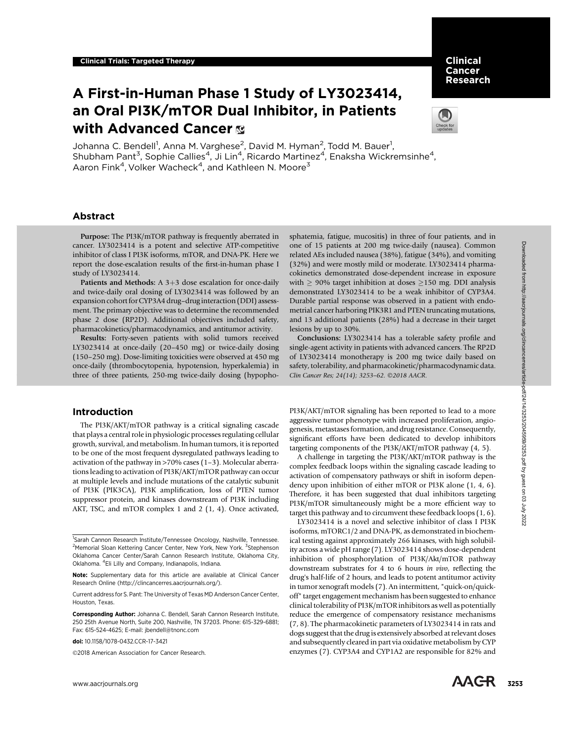# A First-in-Human Phase 1 Study of LY3023414, an Oral PI3K/mTOR Dual Inhibitor, in Patients with Advanced Cancer



Clinical Cancer Research

Johanna C. Bendell<sup>1</sup>, Anna M. Varghese<sup>2</sup>, David M. Hyman<sup>2</sup>, Todd M. Bauer<sup>1</sup>, Shubham Pant<sup>3</sup>, Sophie Callies<sup>4</sup>, Ji Lin<sup>4</sup>, Ricardo Martinez<sup>4</sup>, Enaksha Wickremsinhe<sup>4</sup>, Aaron Fink<sup>4</sup>, Volker Wacheck<sup>4</sup>, and Kathleen N. Moore<sup>3</sup>

# Abstract

Purpose: The PI3K/mTOR pathway is frequently aberrated in cancer. LY3023414 is a potent and selective ATP-competitive inhibitor of class I PI3K isoforms, mTOR, and DNA-PK. Here we report the dose-escalation results of the first-in-human phase I study of LY3023414.

Patients and Methods:  $A$  3+3 dose escalation for once-daily and twice-daily oral dosing of LY3023414 was followed by an expansion cohort for CYP3A4 drug–druginteraction (DDI) assessment. The primary objective was to determine the recommended phase 2 dose (RP2D). Additional objectives included safety, pharmacokinetics/pharmacodynamics, and antitumor activity.

Results: Forty-seven patients with solid tumors received LY3023414 at once-daily (20–450 mg) or twice-daily dosing (150–250 mg). Dose-limiting toxicities were observed at 450 mg once-daily (thrombocytopenia, hypotension, hyperkalemia) in three of three patients, 250-mg twice-daily dosing (hypopho-

# Introduction

The PI3K/AKT/mTOR pathway is a critical signaling cascade that plays a central role in physiologic processes regulating cellular growth, survival, and metabolism. In human tumors, it is reported to be one of the most frequent dysregulated pathways leading to activation of the pathway in >70% cases (1–3). Molecular aberrations leading to activation of PI3K/AKT/mTOR pathway can occur at multiple levels and include mutations of the catalytic subunit of PI3K (PIK3CA), PI3K amplification, loss of PTEN tumor suppressor protein, and kinases downstream of PI3K including AKT, TSC, and mTOR complex 1 and 2 (1, 4). Once activated,

2018 American Association for Cancer Research.

sphatemia, fatigue, mucositis) in three of four patients, and in one of 15 patients at 200 mg twice-daily (nausea). Common related AEs included nausea (38%), fatigue (34%), and vomiting (32%) and were mostly mild or moderate. LY3023414 pharmacokinetics demonstrated dose-dependent increase in exposure with  $\geq$  90% target inhibition at doses  $\geq$ 150 mg. DDI analysis demonstrated LY3023414 to be a weak inhibitor of CYP3A4. Durable partial response was observed in a patient with endometrial cancer harboring PIK3R1 and PTEN truncating mutations, and 13 additional patients (28%) had a decrease in their target lesions by up to 30%.

Conclusions: LY3023414 has a tolerable safety profile and single-agent activity in patients with advanced cancers. The RP2D of LY3023414 monotherapy is 200 mg twice daily based on safety, tolerability, and pharmacokinetic/pharmacodynamic data. Clin Cancer Res; 24(14); 3253-62. 20018 AACR.

PI3K/AKT/mTOR signaling has been reported to lead to a more aggressive tumor phenotype with increased proliferation, angiogenesis, metastases formation, and drug resistance. Consequently, significant efforts have been dedicated to develop inhibitors targeting components of the PI3K/AKT/mTOR pathway (4, 5).

A challenge in targeting the PI3K/AKT/mTOR pathway is the complex feedback loops within the signaling cascade leading to activation of compensatory pathways or shift in isoform dependency upon inhibition of either mTOR or PI3K alone (1, 4, 6). Therefore, it has been suggested that dual inhibitors targeting PI3K/mTOR simultaneously might be a more efficient way to target this pathway and to circumvent these feedback loops (1, 6).

LY3023414 is a novel and selective inhibitor of class I PI3K isoforms, mTORC1/2 and DNA-PK, as demonstrated in biochemical testing against approximately 266 kinases, with high solubility across a wide pH range (7). LY3023414 shows dose-dependent inhibition of phosphorylation of PI3K/Akt/mTOR pathway downstream substrates for 4 to 6 hours in vivo, reflecting the drug's half-life of 2 hours, and leads to potent antitumor activity in tumor xenograft models (7). An intermittent, "quick-on/quickoff" target engagement mechanism has been suggested to enhance clinical tolerability of PI3K/mTOR inhibitors as well as potentially reduce the emergence of compensatory resistance mechanisms (7, 8). The pharmacokinetic parameters of LY3023414 in rats and dogs suggest that the drug is extensively absorbed at relevant doses and subsequently cleared in part via oxidative metabolism by CYP enzymes (7). CYP3A4 and CYP1A2 are responsible for 82% and ance, 1330 and the alternal electron and the acrylic article - one of 15 plaines at 200 plained from https://aacric...<br>
by the acrylic and the acrylic and the acrylic and the acrylic and the acrylic and the acrylic and th



<sup>&</sup>lt;sup>1</sup>Sarah Cannon Research Institute/Tennessee Oncology, Nashville, Tennessee. <sup>2</sup>Memorial Sloan Kettering Cancer Center, New York, New York. <sup>3</sup>Stephenson Oklahoma Cancer Center/Sarah Cannon Research Institute, Oklahoma City, Oklahoma. <sup>4</sup> Eli Lilly and Company, Indianapolis, Indiana.

Note: Supplementary data for this article are available at Clinical Cancer Research Online (http://clincancerres.aacrjournals.org/).

Current address for S. Pant: The University of Texas MD Anderson Cancer Center, Houston, Texas.

Corresponding Author: Johanna C. Bendell, Sarah Cannon Research Institute, 250 25th Avenue North, Suite 200, Nashville, TN 37203. Phone: 615-329-6881; Fax: 615-524-4625; E-mail: jbendell@tnonc.com

doi: 10.1158/1078-0432.CCR-17-3421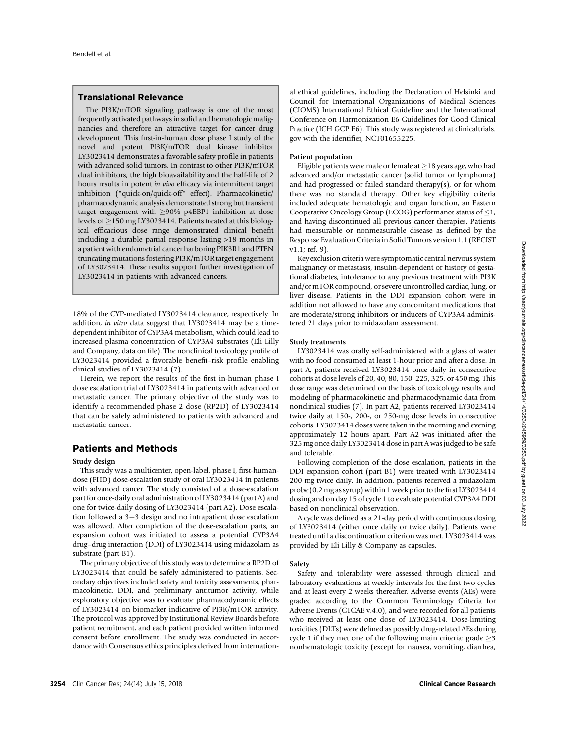# Translational Relevance

The PI3K/mTOR signaling pathway is one of the most frequently activated pathways in solid and hematologic malignancies and therefore an attractive target for cancer drug development. This first-in-human dose phase I study of the novel and potent PI3K/mTOR dual kinase inhibitor LY3023414 demonstrates a favorable safety profile in patients with advanced solid tumors. In contrast to other PI3K/mTOR dual inhibitors, the high bioavailability and the half-life of 2 hours results in potent in vivo efficacy via intermittent target inhibition ("quick-on/quick-off" effect). Pharmacokinetic/ pharmacodynamic analysis demonstrated strong but transient target engagement with  $\geq$ 90% p4EBP1 inhibition at dose levels of  $\geq$ 150 mg LY3023414. Patients treated at this biological efficacious dose range demonstrated clinical benefit including a durable partial response lasting >18 months in a patient with endometrial cancer harboring PIK3R1 and PTEN truncating mutations fostering PI3K/mTOR target engagement of LY3023414. These results support further investigation of LY3023414 in patients with advanced cancers.

18% of the CYP-mediated LY3023414 clearance, respectively. In addition, in vitro data suggest that LY3023414 may be a timedependent inhibitor of CYP3A4 metabolism, which could lead to increased plasma concentration of CYP3A4 substrates (Eli Lilly and Company, data on file). The nonclinical toxicology profile of LY3023414 provided a favorable benefit–risk profile enabling clinical studies of LY3023414 (7).

Herein, we report the results of the first in-human phase I dose escalation trial of LY3023414 in patients with advanced or metastatic cancer. The primary objective of the study was to identify a recommended phase 2 dose (RP2D) of LY3023414 that can be safely administered to patients with advanced and metastatic cancer.

# Patients and Methods

## Study design

This study was a multicenter, open-label, phase I, first-humandose (FHD) dose-escalation study of oral LY3023414 in patients with advanced cancer. The study consisted of a dose-escalation part for once-daily oral administration of LY3023414 (part A) and one for twice-daily dosing of LY3023414 (part A2). Dose escalation followed a  $3+3$  design and no intrapatient dose escalation was allowed. After completion of the dose-escalation parts, an expansion cohort was initiated to assess a potential CYP3A4 drug–drug interaction (DDI) of LY3023414 using midazolam as substrate (part B1).

The primary objective of this study was to determine a RP2D of LY3023414 that could be safely administered to patients. Secondary objectives included safety and toxicity assessments, pharmacokinetic, DDI, and preliminary antitumor activity, while exploratory objective was to evaluate pharmacodynamic effects of LY3023414 on biomarker indicative of PI3K/mTOR activity. The protocol was approved by Institutional Review Boards before patient recruitment, and each patient provided written informed consent before enrollment. The study was conducted in accordance with Consensus ethics principles derived from international ethical guidelines, including the Declaration of Helsinki and Council for International Organizations of Medical Sciences (CIOMS) International Ethical Guideline and the International Conference on Harmonization E6 Guidelines for Good Clinical Practice (ICH GCP E6). This study was registered at clinicaltrials. gov with the identifier, NCT01655225.

#### Patient population

Eligible patients were male or female at  $\geq$  18 years age, who had advanced and/or metastatic cancer (solid tumor or lymphoma) and had progressed or failed standard therapy(s), or for whom there was no standard therapy. Other key eligibility criteria included adequate hematologic and organ function, an Eastern Cooperative Oncology Group (ECOG) performance status of  $\leq 1$ , and having discontinued all previous cancer therapies. Patients had measurable or nonmeasurable disease as defined by the Response Evaluation Criteria in Solid Tumors version 1.1 (RECIST v1.1; ref. 9).

Key exclusion criteria were symptomatic central nervous system malignancy or metastasis, insulin-dependent or history of gestational diabetes, intolerance to any previous treatment with PI3K and/or mTOR compound, or severe uncontrolled cardiac, lung, or liver disease. Patients in the DDI expansion cohort were in addition not allowed to have any concomitant medications that are moderate/strong inhibitors or inducers of CYP3A4 administered 21 days prior to midazolam assessment.

#### Study treatments

LY3023414 was orally self-administered with a glass of water with no food consumed at least 1-hour prior and after a dose. In part A, patients received LY3023414 once daily in consecutive cohorts at dose levels of 20, 40, 80, 150, 225, 325, or 450 mg. This dose range was determined on the basis of toxicology results and modeling of pharmacokinetic and pharmacodynamic data from nonclinical studies (7). In part A2, patients received LY3023414 twice daily at 150-, 200-, or 250-mg dose levels in consecutive cohorts. LY3023414 doses were taken in the morning and evening approximately 12 hours apart. Part A2 was initiated after the 325 mg once daily LY3023414 dose in part A was judged to be safe and tolerable.

Following completion of the dose escalation, patients in the DDI expansion cohort (part B1) were treated with LY3023414 200 mg twice daily. In addition, patients received a midazolam probe (0.2 mg as syrup) within 1 week prior to the first LY3023414 dosing and on day 15 of cycle 1 to evaluate potential CYP3A4 DDI based on nonclinical observation.

A cycle was defined as a 21-day period with continuous dosing of LY3023414 (either once daily or twice daily). Patients were treated until a discontinuation criterion was met. LY3023414 was provided by Eli Lilly & Company as capsules.

#### Safety

Safety and tolerability were assessed through clinical and laboratory evaluations at weekly intervals for the first two cycles and at least every 2 weeks thereafter. Adverse events (AEs) were graded according to the Common Terminology Criteria for Adverse Events (CTCAE v.4.0), and were recorded for all patients who received at least one dose of LY3023414. Dose-limiting toxicities (DLTs) were defined as possibly drug-related AEs during cycle 1 if they met one of the following main criteria: grade  $\geq$ 3 nonhematologic toxicity (except for nausea, vomiting, diarrhea,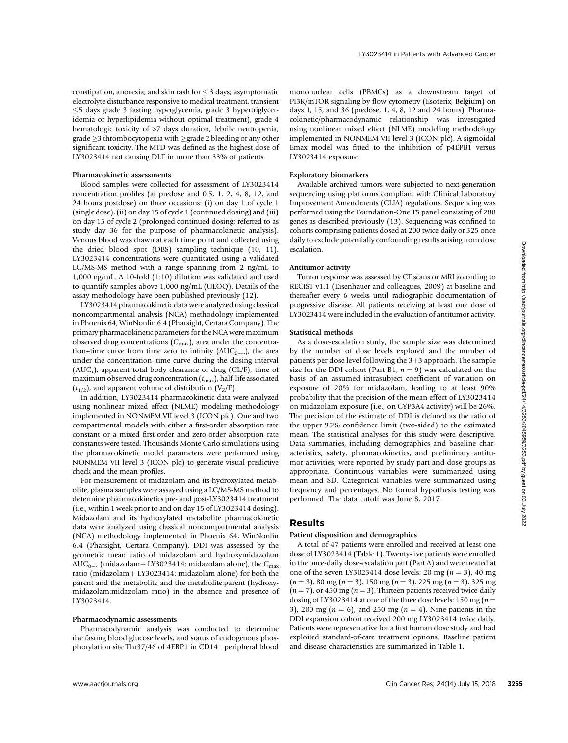constipation, anorexia, and skin rash for  $\leq$  3 days; asymptomatic electrolyte disturbance responsive to medical treatment, transient  $\leq$ 5 days grade 3 fasting hyperglycemia, grade 3 hypertriglyceridemia or hyperlipidemia without optimal treatment), grade 4 hematologic toxicity of  $>7$  days duration, febrile neutropenia,  $\text{grade} \geq 3$  thrombocytopenia with  $\geq$ grade 2 bleeding or any other significant toxicity. The MTD was defined as the highest dose of LY3023414 not causing DLT in more than 33% of patients.

#### Pharmacokinetic assessments

Blood samples were collected for assessment of LY3023414 concentration profiles (at predose and 0.5, 1, 2, 4, 8, 12, and 24 hours postdose) on three occasions: (i) on day 1 of cycle 1 (single dose), (ii) on day 15 of cycle 1 (continued dosing) and (iii) on day 15 of cycle 2 (prolonged continued dosing; referred to as study day 36 for the purpose of pharmacokinetic analysis). Venous blood was drawn at each time point and collected using the dried blood spot (DBS) sampling technique (10, 11). LY3023414 concentrations were quantitated using a validated LC/MS-MS method with a range spanning from 2 ng/mL to 1,000 ng/mL. A 10-fold (1:10) dilution was validated and used to quantify samples above 1,000 ng/mL (ULOQ). Details of the assay methodology have been published previously (12).

LY3023414 pharmacokinetic data were analyzed using classical noncompartmental analysis (NCA) methodology implemented in Phoenix 64, WinNonlin 6.4 (Pharsight, Certara Company). The primary pharmacokinetic parameters for the NCA were maximum observed drug concentrations  $(C_{\text{max}})$ , area under the concentration–time curve from time zero to infinity ( $AUC_{0-\infty}$ ), the area under the concentration–time curve during the dosing interval (AUC<sub>t</sub>), apparent total body clearance of drug (CL/F), time of maximum observed drug concentration  $(t_{\text{max}})$ , half-life associated  $(t_{1/2})$ , and apparent volume of distribution (V<sub>Z</sub>/F).

In addition, LY3023414 pharmacokinetic data were analyzed using nonlinear mixed effect (NLME) modeling methodology implemented in NONMEM VII level 3 (ICON plc). One and two compartmental models with either a first-order absorption rate constant or a mixed first-order and zero-order absorption rate constants were tested. Thousands Monte Carlo simulations using the pharmacokinetic model parameters were performed using NONMEM VII level 3 (ICON plc) to generate visual predictive check and the mean profiles.

For measurement of midazolam and its hydroxylated metabolite, plasma samples were assayed using a LC/MS-MS method to determine pharmacokinetics pre- and post-LY3023414 treatment (i.e., within 1 week prior to and on day 15 of LY3023414 dosing). Midazolam and its hydroxylated metabolite pharmacokinetic data were analyzed using classical noncompartmental analysis (NCA) methodology implemented in Phoenix 64, WinNonlin 6.4 (Pharsight, Certara Company). DDI was assessed by the geometric mean ratio of midazolam and hydroxymidazolam AUC<sub>0-∞</sub> (midazolam+ LY3023414: midazolam alone), the C<sub>max</sub> ratio (midazolam+ LY3023414: midazolam alone) for both the parent and the metabolite and the metabolite:parent (hydroxymidazolam:midazolam ratio) in the absence and presence of LY3023414.

#### Pharmacodynamic assessments

Pharmacodynamic analysis was conducted to determine the fasting blood glucose levels, and status of endogenous phosphorylation site Thr37/46 of 4EBP1 in  $CD14<sup>+</sup>$  peripheral blood mononuclear cells (PBMCs) as a downstream target of PI3K/mTOR signaling by flow cytometry (Esoterix, Belgium) on days 1, 15, and 36 (predose, 1, 4, 8, 12 and 24 hours). Pharmacokinetic/pharmacodynamic relationship was investigated using nonlinear mixed effect (NLME) modeling methodology implemented in NONMEM VII level 3 (ICON plc). A sigmoidal Emax model was fitted to the inhibition of p4EPB1 versus LY3023414 exposure.

## Exploratory biomarkers

Available archived tumors were subjected to next-generation sequencing using platforms compliant with Clinical Laboratory Improvement Amendments (CLIA) regulations. Sequencing was performed using the Foundation-One T5 panel consisting of 288 genes as described previously (13). Sequencing was confined to cohorts comprising patients dosed at 200 twice daily or 325 once daily to exclude potentially confounding results arising from dose escalation.

#### Antitumor activity

Tumor response was assessed by CT scans or MRI according to RECIST v1.1 (Eisenhauer and colleagues, 2009) at baseline and thereafter every 6 weeks until radiographic documentation of progressive disease. All patients receiving at least one dose of LY3023414 were included in the evaluation of antitumor activity.

#### Statistical methods

As a dose-escalation study, the sample size was determined by the number of dose levels explored and the number of patients per dose level following the  $3+3$  approach. The sample size for the DDI cohort (Part B1,  $n = 9$ ) was calculated on the basis of an assumed intrasubject coefficient of variation on exposure of 20% for midazolam, leading to at least 90% probability that the precision of the mean effect of LY3023414 on midazolam exposure (i.e., on CYP3A4 activity) will be 26%. The precision of the estimate of DDI is defined as the ratio of the upper 95% confidence limit (two-sided) to the estimated mean. The statistical analyses for this study were descriptive. Data summaries, including demographics and baseline characteristics, safety, pharmacokinetics, and preliminary antitumor activities, were reported by study part and dose groups as appropriate. Continuous variables were summarized using mean and SD. Categorical variables were summarized using frequency and percentages. No formal hypothesis testing was performed. The data cutoff was June 8, 2017. whe constrained in the interaction ( $\sim$  Clin Cancer Responses to the constrained from https://axred.org/clincancerres/article/s. The constrained from the syntems of the constrained from the syntems of the constrained fro

## Results

#### Patient disposition and demographics

A total of 47 patients were enrolled and received at least one dose of LY3023414 (Table 1). Twenty-five patients were enrolled in the once-daily dose-escalation part (Part A) and were treated at one of the seven LY3023414 dose levels: 20 mg  $(n = 3)$ , 40 mg  $(n = 3)$ , 80 mg  $(n = 3)$ , 150 mg  $(n = 3)$ , 225 mg  $(n = 3)$ , 325 mg  $(n = 7)$ , or 450 mg  $(n = 3)$ . Thirteen patients received twice-daily dosing of LY3023414 at one of the three dose levels: 150 mg ( $n =$ 3), 200 mg ( $n = 6$ ), and 250 mg ( $n = 4$ ). Nine patients in the DDI expansion cohort received 200 mg LY3023414 twice daily. Patients were representative for a first human dose study and had exploited standard-of-care treatment options. Baseline patient and disease characteristics are summarized in Table 1.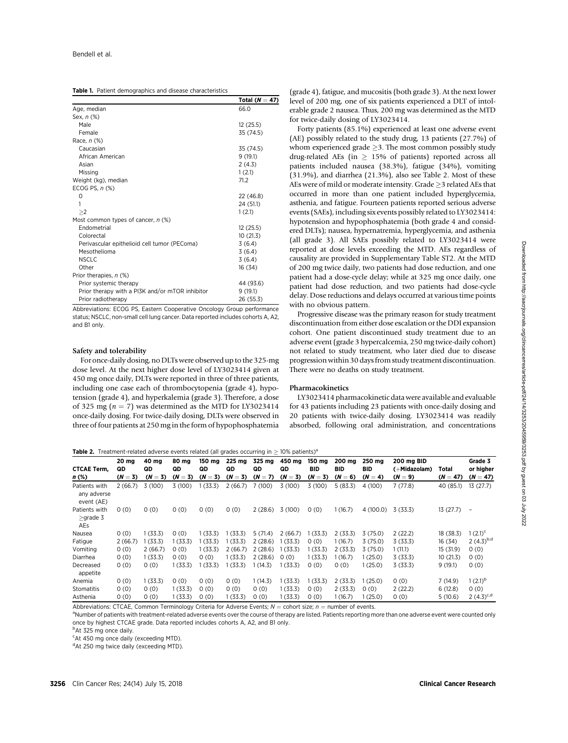|                                                 | Total ( $N = 47$ ) |
|-------------------------------------------------|--------------------|
| Age, median                                     | 66.0               |
| Sex, n (%)                                      |                    |
| Male                                            | 12(25.5)           |
| Female                                          | 35 (74.5)          |
| Race, n (%)                                     |                    |
| Caucasian                                       | 35 (74.5)          |
| African American                                | 9(19.1)            |
| Asian                                           | 2(4.3)             |
| Missing                                         | 1(2.1)             |
| Weight (kg), median                             | 71.2               |
| ECOG PS, $n$ $%$                                |                    |
| 0                                               | 22 (46.8)          |
| 1                                               | 24 (51.1)          |
| >2                                              | 1(2.1)             |
| Most common types of cancer, $n$ (%)            |                    |
| Endometrial                                     | 12(25.5)           |
| Colorectal                                      | 10(21.3)           |
| Perivascular epithelioid cell tumor (PEComa)    | 3(6.4)             |
| Mesothelioma                                    | 3(6.4)             |
| <b>NSCLC</b>                                    | 3(6.4)             |
| Other                                           | 16 (34)            |
| Prior therapies, n (%)                          |                    |
| Prior systemic therapy                          | 44 (93.6)          |
| Prior therapy with a PI3K and/or mTOR inhibitor | 9(19.1)            |
| Prior radiotherapy                              | 26 (55.3)          |

Abbreviations: ECOG PS, Eastern Cooperative Oncology Group performance status; NSCLC, non-small cell lung cancer. Data reported includes cohorts A, A2, and B1 only.

#### Safety and tolerability

For once-daily dosing, no DLTs were observed up to the 325-mg dose level. At the next higher dose level of LY3023414 given at 450 mg once daily, DLTs were reported in three of three patients, including one case each of thrombocytopenia (grade 4), hypotension (grade 4), and hyperkalemia (grade 3). Therefore, a dose of 325 mg ( $n = 7$ ) was determined as the MTD for LY3023414 once-daily dosing. For twice-daily dosing, DLTs were observed in three of four patients at 250 mg in the form of hypophosphatemia

(grade 4), fatigue, and mucositis (both grade 3). At the next lower level of 200 mg, one of six patients experienced a DLT of intolerable grade 2 nausea. Thus, 200 mg was determined as the MTD for twice-daily dosing of LY3023414.

Forty patients (85.1%) experienced at least one adverse event (AE) possibly related to the study drug, 13 patients (27.7%) of whom experienced grade  $\geq$ 3. The most common possibly study drug-related AEs (in  $\geq$  15% of patients) reported across all patients included nausea (38.3%), fatigue (34%), vomiting (31.9%), and diarrhea (21.3%), also see Table 2. Most of these AEs were of mild or moderate intensity. Grade  $\geq$ 3 related AEs that occurred in more than one patient included hyperglycemia, asthenia, and fatigue. Fourteen patients reported serious adverse events (SAEs), including six events possibly related to LY3023414: hypotension and hypophosphatemia (both grade 4 and considered DLTs); nausea, hypernatremia, hyperglycemia, and asthenia (all grade 3). All SAEs possibly related to LY3023414 were reported at dose levels exceeding the MTD. AEs regardless of causality are provided in Supplementary Table ST2. At the MTD of 200 mg twice daily, two patients had dose reduction, and one patient had a dose-cycle delay; while at 325 mg once daily, one patient had dose reduction, and two patients had dose-cycle delay. Dose reductions and delays occurred at various time points with no obvious pattern.

Progressive disease was the primary reason for study treatment discontinuation from either dose escalation or the DDI expansion cohort. One patient discontinued study treatment due to an adverse event (grade 3 hypercalcemia, 250 mg twice-daily cohort) not related to study treatment, who later died due to disease progression within 30 days from study treatment discontinuation. There were no deaths on study treatment.

## Pharmacokinetics

LY3023414 pharmacokinetic data were available and evaluable for 43 patients including 23 patients with once-daily dosing and 20 patients with twice-daily dosing. LY3023414 was readily absorbed, following oral administration, and concentrations

**Table 2.** Treatment-related adverse events related (all grades occurring in  $\geq$  10% patients)<sup>a</sup>

|                                            | 20 mg         | 40 mg              | 80 mg         | 150 mg        | 225 mg        | 325 mg             | 450 mg   | 150 ma     | 200 ma         | 250 ma         | 200 mg BID              |                     | Grade 3                  |
|--------------------------------------------|---------------|--------------------|---------------|---------------|---------------|--------------------|----------|------------|----------------|----------------|-------------------------|---------------------|--------------------------|
| <b>CTCAE Term,</b>                         | QD<br>$(N=3)$ | QD<br>$(N =$<br>3) | QD<br>$(N=3)$ | QD<br>$(N=3)$ | QD<br>$(N=3)$ | QD<br>$(N =$<br>7) | QD       | <b>BID</b> | BID<br>$(N=6)$ | BID<br>$(N=4)$ | (+Midazolam)<br>$(N=9)$ | Total<br>$(N = 47)$ | or higher                |
| n (%)                                      |               |                    |               |               |               |                    | $(N=3)$  | $(N=3)$    |                |                |                         |                     | $(N = 47)$               |
| Patients with<br>any adverse<br>event (AE) | 2(66.7)       | 3(100)             | 3(100)        | (33.3)        | 2(66.7)       | 7(100)             | 3(100)   | 3(100)     | 5(83.3)        | 4 (100)        | 7(77.8)                 | 40 (85.1)           | 13(27.7)                 |
| Patients with<br>$\geq$ grade 3<br>AEs     | 0(0)          | 0(0)               | 0(0)          | 0(0)          | 0(0)          | 2(28.6)            | 3(100)   | 0(0)       | 1(16.7)        | 4(100.0)       | 3(33.3)                 | 13(27.7)            | $\overline{\phantom{a}}$ |
| Nausea                                     | 0(0)          | 1(33.3)            | 0(0)          | 1(33.3)       | (33.3)        | 5(71.4)            | 2(66.7)  | (33.3)     | 2(33.3)        | 3(75.0)        | 2(22.2)                 | 18 (38.3)           | $1(2.1)^{c}$             |
| Fatigue                                    | 2(66.7)       | 1(33.3)            | 1(33.3)       | 1 (33.3)      | (33.3)        | 2(28.6)            | 1(33.3)  | 0(0)       | 1(16.7)        | 3(75.0)        | 3(33.3)                 | 16 (34)             | 2 $(4.3)^{b,d}$          |
| Vomiting                                   | 0(0)          | 2(66.7)            | 0(0)          | 1(33.3)       | 2(66.7)       | 2(28.6)            | 1(33.3)  | 1(33.3)    | 2(33.3)        | 3(75.0)        | 1(11.1)                 | 15 (31.9)           | 0(0)                     |
| Diarrhea                                   | 0(0)          | 1(33.3)            | 0(0)          | 0(0)          | (33.3)        | 2(28.6)            | 0(0)     | 1(33.3)    | (16.7)         | (25.0)         | 3(33.3)                 | 10 (21.3)           | 0(0)                     |
| Decreased<br>appetite                      | 0(0)          | 0(0)               | 1(33.3)       | (33.3)        | (33.3)        | 1(14.3)            | 1(33.3)  | 0(0)       | 0(0)           | (25.0)         | 3(33.3)                 | 9(19.1)             | 0(0)                     |
| Anemia                                     | 0(0)          | 1(33.3)            | 0(0)          | 0(0)          | 0(0)          | 1(14.3)            | 1(33.3)  | 1(33.3)    | 2(33.3)        | (25.0)         | 0(0)                    | 7(14.9)             | $1(2.1)^{p}$             |
| Stomatitis                                 | 0(0)          | 0(0)               | 1(33.3)       | 0(0)          | 0(0)          | 0(0)               | 1(33.3)  | 0(0)       | 2(33.3)        | 0(0)           | 2(22.2)                 | 6(12.8)             | 0(0)                     |
| Asthenia                                   | 0(0)          | 0(0)               | 1(33.3)       | 0(0)          | 1 (33.3)      | 0(0)               | 1 (33.3) | 0(0)       | 1 (16.7)       | (25.0)         | 0(0)                    | 5(10.6)             | 2 $(4.3)^{c,d}$          |

Abbreviations: CTCAE, Common Terminology Criteria for Adverse Events;  $N =$  cohort size;  $n =$  number of events.

<sup>a</sup>Number of patients with treatment-related adverse events over the course of therapy are listed. Patients reporting more than one adverse event were counted only once by highest CTCAE grade. Data reported includes cohorts A, A2, and B1 only.

<sup>b</sup>At 325 mg once daily.

<sup>c</sup>At 450 mg once daily (exceeding MTD).

<sup>d</sup>At 250 mg twice daily (exceeding MTD).

Downloaded from http://aacrjournals.org/clincancerres/article-pdf/24/14/3253/2045959/3253.pdf by guest on 03 July 2022 Downloaded from http://aacrjournals.org/clincancerres/article-pdf/24/14/3253/2045959/3253.pdf by guest on 03 July 2022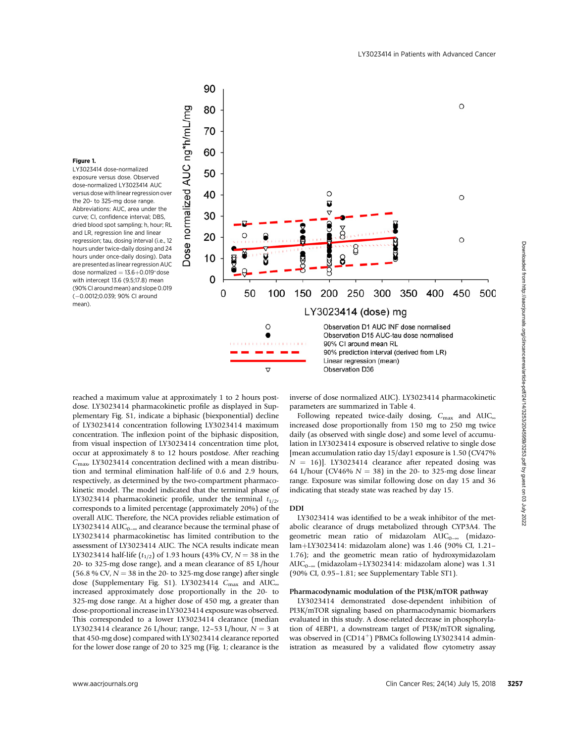$\circ$ 



#### Figure 1.

LY3023414 dose-normalized exposure versus dose. Observed dose-normalized LY3023414 AUC versus dose with linear regression over the 20- to 325-mg dose range. Abbreviations: AUC, area under the curve; CI, confidence interval; DBS, dried blood spot sampling; h, hour; RL and LR, regression line and linear regression; tau, dosing interval (i.e., 12 hours under twice-daily dosing and 24 hours under once-daily dosing). Data are presented as linear regression AUC dose normalized  $= 13.6 + 0.019$ <sup>\*</sup>dose with intercept 13.6 (9.5;17.8) mean (90% CI around mean) and slope 0.019 (-0.0012;0.039; 90% CI around mean).

90

reached a maximum value at approximately 1 to 2 hours postdose. LY3023414 pharmacokinetic profile as displayed in Supplementary Fig. S1, indicate a biphasic (biexponential) decline of LY3023414 concentration following LY3023414 maximum concentration. The inflexion point of the biphasic disposition, from visual inspection of LY3023414 concentration time plot, occur at approximately 8 to 12 hours postdose. After reaching  $C<sub>max</sub>$  LY3023414 concentration declined with a mean distribution and terminal elimination half-life of 0.6 and 2.9 hours, respectively, as determined by the two-compartment pharmacokinetic model. The model indicated that the terminal phase of LY3023414 pharmacokinetic profile, under the terminal  $t_{1/2}$ , corresponds to a limited percentage (approximately 20%) of the overall AUC. Therefore, the NCA provides reliable estimation of LY3023414 AUC<sub>0- $\infty$ </sub> and clearance because the terminal phase of LY3023414 pharmacokinetisc has limited contribution to the assessment of LY3023414 AUC. The NCA results indicate mean LY3023414 half-life  $(t_{1/2})$  of 1.93 hours (43% CV,  $N = 38$  in the 20- to 325-mg dose range), and a mean clearance of 85 L/hour  $(56.8 % CV, N = 38 in the 20- to 325-mg dose range)$  after single dose (Supplementary Fig. S1). LY3023414  $C_{\text{max}}$  and AUC<sub>®</sub> increased approximately dose proportionally in the 20- to 325-mg dose range. At a higher dose of 450 mg, a greater than dose-proportional increase in LY3023414 exposure was observed. This corresponded to a lower LY3023414 clearance (median LY3023414 clearance 26 L/hour; range, 12–53 L/hour,  $N = 3$  at that 450-mg dose) compared with LY3023414 clearance reported for the lower dose range of 20 to 325 mg (Fig. 1; clearance is the www.axions.org Cliential Cancer Ress; 24(14) July 2022 114 July 2022 114 Cancer Ress; 24(14) July 2022 114 July 2022 114 July 2022 114 July 2022 114 July 2022 114 July 2022 114 July 2022 114 July 2022 114 July 2022 114 Ju

inverse of dose normalized AUC). LY3023414 pharmacokinetic parameters are summarized in Table 4.

Following repeated twice-daily dosing,  $C_{\text{max}}$  and  $\text{AUC}_{\infty}$ increased dose proportionally from 150 mg to 250 mg twice daily (as observed with single dose) and some level of accumulation in LY3023414 exposure is observed relative to single dose [mean accumulation ratio day 15/day1 exposure is 1.50 (CV47%  $N = 16$ ]. LY3023414 clearance after repeated dosing was 64 L/hour (CV46%  $N = 38$ ) in the 20- to 325-mg dose linear range. Exposure was similar following dose on day 15 and 36 indicating that steady state was reached by day 15.

### DDI

LY3023414 was identified to be a weak inhibitor of the metabolic clearance of drugs metabolized through CYP3A4. The geometric mean ratio of midazolam  $AUC_{0-\infty}$  (midazolam+LY3023414: midazolam alone) was 1.46 (90% CI, 1.21-1.76); and the geometric mean ratio of hydroxymidazolam AUC<sub>0- $\infty$ </sub> (midazolam+LY3023414: midazolam alone) was 1.31 (90% CI, 0.95–1.81; see Supplementary Table ST1).

## Pharmacodynamic modulation of the PI3K/mTOR pathway

LY3023414 demonstrated dose-dependent inhibition of PI3K/mTOR signaling based on pharmacodynamic biomarkers evaluated in this study. A dose-related decrease in phosphorylation of 4EBP1, a downstream target of PI3K/mTOR signaling, was observed in  $(CD14<sup>+</sup>)$  PBMCs following LY3023414 administration as measured by a validated flow cytometry assay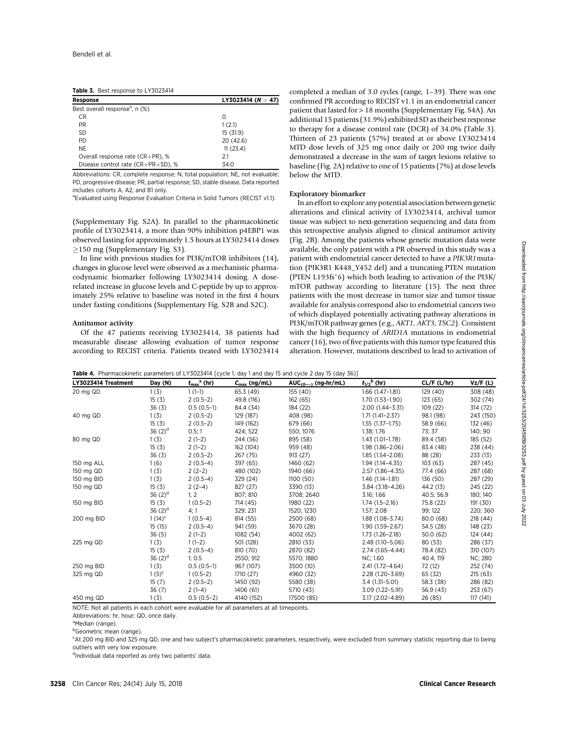|  | Table 3. Best response to LY3023414 |  |
|--|-------------------------------------|--|
|--|-------------------------------------|--|

| Response                                   | LY3023414 ( $N = 47$ ) |
|--------------------------------------------|------------------------|
| Best overall response <sup>a</sup> , n (%) |                        |
| CR                                         | Ω                      |
| PR.                                        | 1(2.1)                 |
| SD.                                        | 15 (31.9)              |
| PD.                                        | 20(42.6)               |
| <b>NE</b>                                  | 11(23.4)               |
| Overall response rate (CR+PR), %           | 2.1                    |
| Disease control rate $(CR+PR+SD)$ , %      | 34.0                   |

Abbreviations: CR, complete response; N, total population; NE, not evaluable; PD, progressive disease; PR, partial response; SD, stable disease. Data reported includes cohorts A, A2, and B1 only.

<sup>a</sup> Evaluated using Response Evaluation Criteria in Solid Tumors (RECIST v1.1).

(Supplementary Fig. S2A). In parallel to the pharmacokinetic profile of LY3023414, a more than 90% inhibition p4EBP1 was observed lasting for approximately 1.5 hours at LY3023414 doses  $\geq$ 150 mg (Supplementary Fig. S3).

In line with previous studies for PI3K/mTOR inhibitors (14), changes in glucose level were observed as a mechanistic pharmacodynamic biomarker following LY3023414 dosing. A doserelated increase in glucose levels and C-peptide by up to approximately 25% relative to baseline was noted in the first 4 hours under fasting conditions (Supplementary Fig. S2B and S2C).

#### Antitumor activity

Of the 47 patients receiving LY3023414, 38 patients had measurable disease allowing evaluation of tumor response according to RECIST criteria. Patients treated with LY3023414

completed a median of 3.0 cycles (range, 1–39). There was one confirmed PR according to RECIST v1.1 in an endometrial cancer patient that lasted for > 18 months (Supplementary Fig. S4A). An additional 15 patients (31.9%) exhibited SD as their best response to therapy for a disease control rate (DCR) of 34.0% (Table 3). Thirteen of 23 patients (57%) treated at or above LY3023414 MTD dose levels of 325 mg once daily or 200 mg twice daily demonstrated a decrease in the sum of target lesions relative to baseline (Fig. 2A) relative to one of 15 patients (7%) at dose levels below the MTD.

#### Exploratory biomarker

In an effort to explore any potential association between genetic alterations and clinical activity of LY3023414, archival tumor tissue was subject to next-generation sequencing and data from this retrospective analysis aligned to clinical antitumor activity (Fig. 2B). Among the patients whose genetic mutation data were available, the only patient with a PR observed in this study was a patient with endometrial cancer detected to have a PIK3R1mutation (PIK3R1 K448\_Y452 del) and a truncating PTEN mutation (PTEN L193fs $*$ 6) which both leading to activation of the PI3K/ mTOR pathway according to literature (15). The next three patients with the most decrease in tumor size and tumor tissue available for analysis correspond also to endometrial cancers two of which displayed potentially activating pathway alterations in PI3K/mTOR pathway genes (e.g., AKT1, AKT3, TSC2). Consistent with the high frequency of ARID1A mutations in endometrial cancer (16), two of five patients with this tumor type featured this alteration. However, mutations described to lead to activation of

| LY3023414 Treatment | Day (N)     | $t_{\text{max}}^{\text{a}}$ (hr) | $C_{\text{max}}$ (ng/mL) | AUC <sub>(0-<math>\infty</math>)</sub> (ng·hr/mL) | $t_{1/2}$ <sup>b</sup> (hr) | CL/F (L/hr) | Vz/F (L)  |
|---------------------|-------------|----------------------------------|--------------------------|---------------------------------------------------|-----------------------------|-------------|-----------|
| 20 mg QD            | 1(3)        | $1(1-1)$                         | 65.3 (49)                | 155 (40)                                          | $1.66(1.47-1.81)$           | 129 (40)    | 308 (48)  |
|                     | 15(3)       | $2(0.5-2)$                       | 49.8 (116)               | 162 (65)                                          | $1.70(1.53 - 1.90)$         | 123 (65)    | 302 (74)  |
|                     | 36(3)       | $0.5(0.5-1)$                     | 84.4 (34)                | 184 (22)                                          | $2.00(1.44 - 3.31)$         | 109 (22)    | 314 (72)  |
| 40 mg QD            | 1(3)        | $2(0.5-2)$                       | 129 (187)                | 408 (98)                                          | $1.71(1.41 - 2.37)$         | 98.1 (98)   | 243 (150) |
|                     | 15(3)       | $2(0.5-2)$                       | 149 (162)                | 679 (66)                                          | $1.55(1.37-1.75)$           | 58.9 (66)   | 132 (46)  |
|                     | 36 $(2)^d$  | 0.5; 1                           | 424; 522                 | 550; 1076                                         | 1.38; 1.76                  | 73; 37      | 140; 90   |
| 80 mg QD            | 1(3)        | $2(1-2)$                         | 244 (56)                 | 895 (58)                                          | $1.43(1.01-1.78)$           | 89.4 (58)   | 185 (52)  |
|                     | 15(3)       | $2(1-2)$                         | 162 (104)                | 959 (48)                                          | $1.98(1.86 - 2.06)$         | 83.4 (48)   | 238 (44)  |
|                     | 36(3)       | $2(0.5-2)$                       | 267 (75)                 | 913 (27)                                          | $1.85(1.54 - 2.08)$         | 88 (28)     | 233 (13)  |
| 150 mg ALL          | 1(6)        | $2(0.5-4)$                       | 397 (65)                 | 1460 (62)                                         | $1.94(1.14 - 4.35)$         | 103 (63)    | 287 (45)  |
| 150 mg QD           | 1(3)        | $2(2-2)$                         | 480 (102)                | 1940 (66)                                         | 2.57 (1.86-4.35)            | 77.4 (66)   | 287 (68)  |
| 150 mg BID          | 1(3)        | $2(0.5-4)$                       | 329 (24)                 | 1100(50)                                          | $1.46(1.14-1.81)$           | 136 (50)    | 287 (29)  |
| 150 mg QD           | 15(3)       | $2(2-4)$                         | 827 (27)                 | 3390 (13)                                         | 3.84 (3.18-4.26)            | 44.2 (13)   | 245 (22)  |
|                     | 36 $(2)^d$  | 1:2                              | 807; 810                 | 3708; 2640                                        | 3.16; 1.66                  | 40.5; 56.9  | 180; 140  |
| 150 mg BID          | 15(3)       | $1(0.5-2)$                       | 714 (45)                 | 1980 (22)                                         | $1.74(1.5-2.16)$            | 75.8 (22)   | 191 (30)  |
|                     | 36 $(2)^d$  | 4:1                              | 329; 231                 | 1520: 1230                                        | 1.57; 2.08                  | 99; 122     | 220; 360  |
| 200 mg BID          | $1(14)^{c}$ | $1(0.5-4)$                       | 814 (55)                 | 2500 (68)                                         | $1.88(1.08 - 3.74)$         | 80.0 (68)   | 218 (44)  |
|                     | 15(15)      | $2(0.5-4)$                       | 941 (59)                 | 3670 (28)                                         | 1.90 (1.59-2.67)            | 54.5 (28)   | 148 (23)  |
|                     | 36(5)       | $2(1-2)$                         | 1082 (54)                | 4002 (62)                                         | $1.73(1.26 - 2.18)$         | 50.0(62)    | 124(44)   |
| 225 mg QD           | 1(3)        | $1(1-2)$                         | 501 (128)                | 2810 (53)                                         | 2.48 (1.10-5.06)            | 80 (53)     | 286 (37)  |
|                     | 15(3)       | $2(0.5-4)$                       | 810 (70)                 | 2870 (82)                                         | 2.74 (1.65-4.44)            | 78.4 (82)   | 310 (107) |
|                     | 36 $(2)^d$  | 1:0.5                            | 2550; 912                | 5570: 1880                                        | NC; 1.60                    | 40.4, 119   | NC; 280   |
| 250 mg BID          | 1(3)        | $0.5(0.5-1)$                     | 967 (107)                | 3500 (10)                                         | $2.41(1.72 - 4.64)$         | 72 (12)     | 252 (74)  |
| 325 mg QD           | $1(5)^{c}$  | $1(0.5-2)$                       | 1710 (27)                | 4960 (32)                                         | 2.28 (1.20-3.69)            | 65 (32)     | 215(63)   |
|                     | 15(7)       | $2(0.5-2)$                       | 1450 (92)                | 5580 (38)                                         | $3.4(1.31 - 5.01)$          | 58.3 (38)   | 286 (82)  |
|                     | 36(7)       | $2(1-4)$                         | 1406 (61)                | 5710 (43)                                         | 3.09 (1.22-5.91)            | 56.9 (43)   | 253 (67)  |
| 450 mg QD           | 1(3)        | $0.5(0.5-2)$                     | 4140 (152)               | 17500 (85)                                        | 3.17 (2.02-4.89)            | 26 (85)     | 117 (141) |

Table 4. Pharmacokinetic parameters of LY3023414 [cycle 1, day 1 and day 15 and cycle 2 day 15 (day 36)]

NOTE: Not all patients in each cohort were evaluable for all parameters at all timepoints.

Abbreviations: hr, hour; QD, once daily.

<sup>a</sup>Median (range).

<sup>b</sup>Geometric mean (range).

<sup>c</sup>At 200 mg BID and 325 mg QD, one and two subject's pharmacokinetic parameters, respectively, were excluded from summary statistic reporting due to being outliers with very low exposure.

dIndividual data reported as only two patients' data.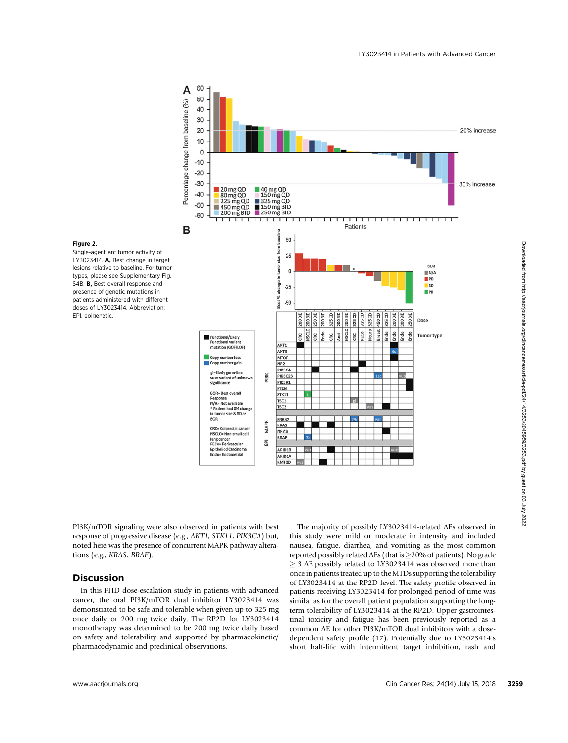

# Figure 2.

Single-agent antitumor activity of LY3023414. A, Best change in target lesions relative to baseline. For tumor types, please see Supplementary Fig. S4B. **B**, Best overall response and presence of genetic mutations in patients administered with different doses of LY3023414. Abbreviation: EPI, epigenetic.

PI3K/mTOR signaling were also observed in patients with best response of progressive disease (e.g., AKT1, STK11, PIK3CA) but, noted here was the presence of concurrent MAPK pathway alterations (e.g., KRAS, BRAF).

# Discussion

In this FHD dose-escalation study in patients with advanced cancer, the oral PI3K/mTOR dual inhibitor LY3023414 was demonstrated to be safe and tolerable when given up to 325 mg once daily or 200 mg twice daily. The RP2D for LY3023414 monotherapy was determined to be 200 mg twice daily based on safety and tolerability and supported by pharmacokinetic/ pharmacodynamic and preclinical observations.

The majority of possibly LY3023414-related AEs observed in this study were mild or moderate in intensity and included nausea, fatigue, diarrhea, and vomiting as the most common reported possibly related AEs (that is  $\geq$  20% of patients). No grade  $\geq$  3 AE possibly related to LY3023414 was observed more than once in patients treated up to the MTDs supporting the tolerability of LY3023414 at the RP2D level. The safety profile observed in patients receiving LY3023414 for prolonged period of time was similar as for the overall patient population supporting the longterm tolerability of LY3023414 at the RP2D. Upper gastrointestinal toxicity and fatigue has been previously reported as a common AE for other PI3K/mTOR dual inhibitors with a dosedependent safety profile (17). Potentially due to LY3023414's short half-life with intermittent target inhibition, rash and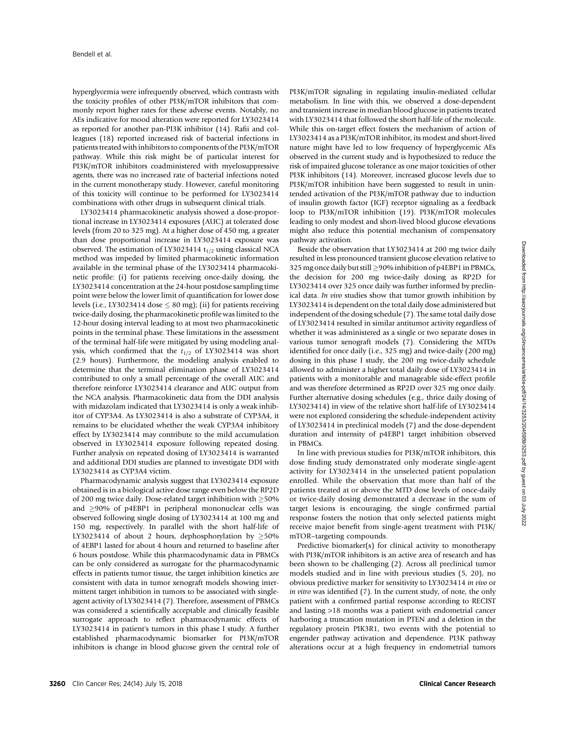hyperglycemia were infrequently observed, which contrasts with the toxicity profiles of other PI3K/mTOR inhibitors that commonly report higher rates for these adverse events. Notably, no AEs indicative for mood alteration were reported for LY3023414 as reported for another pan-PI3K inhibitor (14). Rafii and colleagues (18) reported increased risk of bacterial infections in patients treated with inhibitors to components of the PI3K/mTOR pathway. While this risk might be of particular interest for PI3K/mTOR inhibitors coadministered with myelosuppressive agents, there was no increased rate of bacterial infections noted in the current monotherapy study. However, careful monitoring of this toxicity will continue to be performed for LY3023414 combinations with other drugs in subsequent clinical trials.

LY3023414 pharmacokinetic analysis showed a dose-proportional increase in LY3023414 exposures (AUC) at tolerated dose levels (from 20 to 325 mg). At a higher dose of 450 mg, a greater than dose proportional increase in LY3023414 exposure was observed. The estimation of LY3023414  $t_{1/2}$  using classical NCA method was impeded by limited pharmacokinetic information available in the terminal phase of the LY3023414 pharmacokinetic profile: (i) for patients receiving once-daily dosing, the LY3023414 concentration at the 24-hour postdose sampling time point were below the lower limit of quantification for lower dose levels (i.e., LY3023414 dose  $\leq 80$  mg); (ii) for patients receiving twice-daily dosing, the pharmacokinetic profile was limited to the 12-hour dosing interval leading to at most two pharmacokinetic points in the terminal phase. These limitations in the assessment of the terminal half-life were mitigated by using modeling analysis, which confirmed that the  $t_{1/2}$  of LY3023414 was short (2.9 hours). Furthermore, the modeling analysis enabled to determine that the terminal elimination phase of LY3023414 contributed to only a small percentage of the overall AUC and therefore reinforce LY3023414 clearance and AUC output from the NCA analysis. Pharmacokinetic data from the DDI analysis with midazolam indicated that LY3023414 is only a weak inhibitor of CYP3A4. As LY3023414 is also a substrate of CYP3A4, it remains to be elucidated whether the weak CYP3A4 inhibitory effect by LY3023414 may contribute to the mild accumulation observed in LY3023414 exposure following repeated dosing. Further analysis on repeated dosing of LY3023414 is warranted and additional DDI studies are planned to investigate DDI with LY3023414 as CYP3A4 victim.

Pharmacodynamic analysis suggest that LY3023414 exposure obtained is in a biological active dose range even below the RP2D of 200 mg twice daily. Dose-related target inhibition with  $\geq$ 50% and  $\geq$ 90% of p4EBP1 in peripheral mononuclear cells was observed following single dosing of LY3023414 at 100 mg and 150 mg, respectively. In parallel with the short half-life of LY3023414 of about 2 hours, dephosphorylation by  $\geq$ 50% of 4EBP1 lasted for about 4 hours and returned to baseline after 6 hours postdose. While this pharmacodynamic data in PBMCs can be only considered as surrogate for the pharmacodynamic effects in patients tumor tissue, the target inhibition kinetics are consistent with data in tumor xenograft models showing intermittent target inhibition in tumors to be associated with singleagent activity of LY3023414 (7). Therefore, assessment of PBMCs was considered a scientifically acceptable and clinically feasible surrogate approach to reflect pharmacodynamic effects of LY3023414 in patient's tumors in this phase I study. A further established pharmacodynamic biomarker for PI3K/mTOR inhibitors is change in blood glucose given the central role of PI3K/mTOR signaling in regulating insulin-mediated cellular metabolism. In line with this, we observed a dose-dependent and transient increase in median blood glucose in patients treated with LY3023414 that followed the short half-life of the molecule. While this on-target effect fosters the mechanism of action of LY3023414 as a PI3K/mTOR inhibitor, its modest and short-lived nature might have led to low frequency of hyperglycemic AEs observed in the current study and is hypothesized to reduce the risk of impaired glucose tolerance as one major toxicities of other PI3K inhibitors (14). Moreover, increased glucose levels due to PI3K/mTOR inhibition have been suggested to result in unintended activation of the PI3K/mTOR pathway due to induction of insulin growth factor (IGF) receptor signaling as a feedback loop to PI3K/mTOR inhibition (19). PI3K/mTOR molecules leading to only modest and short-lived blood glucose elevations might also reduce this potential mechanism of compensatory pathway activation.

Beside the observation that LY3023414 at 200 mg twice daily resulted in less pronounced transient glucose elevation relative to  $325$  mg once daily but still  $\geq$ 90% inhibition of p4EBP1 in PBMCs, the decision for 200 mg twice-daily dosing as RP2D for LY3023414 over 325 once daily was further informed by preclinical data. In vivo studies show that tumor growth inhibition by LY3023414 is dependent on the total daily dose administered but independent of the dosing schedule (7). The same total daily dose of LY3023414 resulted in similar antitumor activity regardless of whether it was administered as a single or two separate doses in various tumor xenograft models (7). Considering the MTDs identified for once daily (i.e., 325 mg) and twice-daily (200 mg) dosing in this phase I study, the 200 mg twice-daily schedule allowed to administer a higher total daily dose of LY3023414 in patients with a monitorable and manageable side-effect profile and was therefore determined as RP2D over 325 mg once daily. Further alternative dosing schedules (e.g., thrice daily dosing of LY3023414) in view of the relative short half-life of LY3023414 were not explored considering the schedule-independent activity of LY3023414 in preclinical models (7) and the dose-dependent duration and intensity of p4EBP1 target inhibition observed in PBMCs.

In line with previous studies for PI3K/mTOR inhibitors, this dose finding study demonstrated only moderate single-agent activity for LY3023414 in the unselected patient population enrolled. While the observation that more than half of the patients treated at or above the MTD dose levels of once-daily or twice-daily dosing demonstrated a decrease in the sum of target lesions is encouraging, the single confirmed partial response fosters the notion that only selected patients might receive major benefit from single-agent treatment with PI3K/ mTOR–targeting compounds.

Predictive biomarker(s) for clinical activity to monotherapy with PI3K/mTOR inhibitors is an active area of research and has been shown to be challenging (2). Across all preclinical tumor models studied and in line with previous studies (5, 20), no obvious predictive marker for sensitivity to LY3023414 in vivo or in vitro was identified (7). In the current study, of note, the only patient with a confirmed partial response according to RECIST and lasting >18 months was a patient with endometrial cancer harboring a truncation mutation in PTEN and a deletion in the regulatory protein PIK3R1, two events with the potential to engender pathway activation and dependence. PI3K pathway alterations occur at a high frequency in endometrial tumors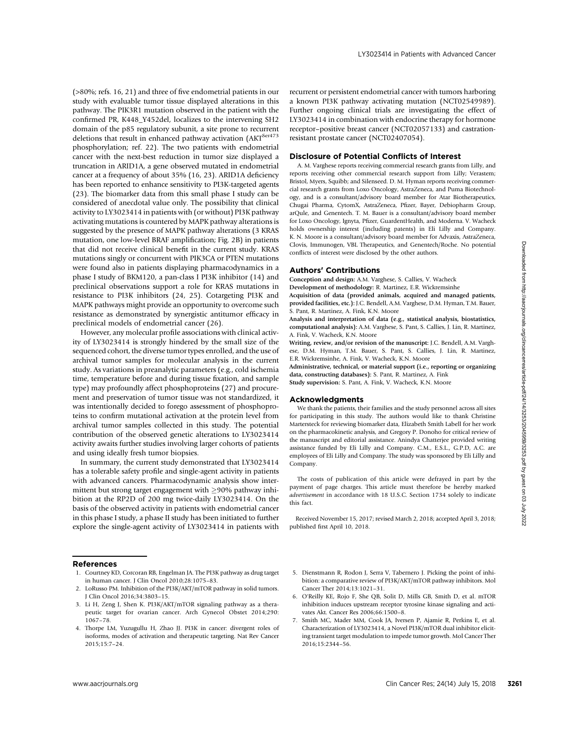(>80%; refs. 16, 21) and three of five endometrial patients in our study with evaluable tumor tissue displayed alterations in this pathway. The PIK3R1 mutation observed in the patient with the confirmed PR, K448\_Y452del, localizes to the intervening SH2 domain of the p85 regulatory subunit, a site prone to recurrent deletions that result in enhanced pathway activation (AKT $^{Ser473}$ phosphorylation; ref. 22). The two patients with endometrial cancer with the next-best reduction in tumor size displayed a truncation in ARID1A, a gene observed mutated in endometrial cancer at a frequency of about 35% (16, 23). ARID1A deficiency has been reported to enhance sensitivity to PI3K-targeted agents (23). The biomarker data from this small phase I study can be considered of anecdotal value only. The possibility that clinical activity to LY3023414 in patients with (or without) PI3K pathway activating mutations is countered by MAPK pathway alterations is suggested by the presence of MAPK pathway alterations (3 KRAS mutation, one low-level BRAF amplification; Fig. 2B) in patients that did not receive clinical benefit in the current study. KRAS mutations singly or concurrent with PIK3CA or PTEN mutations were found also in patients displaying pharmacodynamics in a phase I study of BKM120, a pan-class I PI3K inhibitor (14) and preclinical observations support a role for KRAS mutations in resistance to PI3K inhibitors (24, 25). Cotargeting PI3K and MAPK pathways might provide an opportunity to overcome such resistance as demonstrated by synergistic antitumor efficacy in preclinical models of endometrial cancer (26).

However, any molecular profile associations with clinical activity of LY3023414 is strongly hindered by the small size of the sequenced cohort, the diverse tumor types enrolled, and the use of archival tumor samples for molecular analysis in the current study. As variations in preanalytic parameters (e.g., cold ischemia time, temperature before and during tissue fixation, and sample type) may profoundly affect phosphoproteins (27) and procurement and preservation of tumor tissue was not standardized, it was intentionally decided to forego assessment of phosphoproteins to confirm mutational activation at the protein level from archival tumor samples collected in this study. The potential contribution of the observed genetic alterations to LY3023414 activity awaits further studies involving larger cohorts of patients and using ideally fresh tumor biopsies. This distingention in the control of the control of the control of the control of the control of the control of the control of the control of the control of the control of the control of the control of the control of the

In summary, the current study demonstrated that LY3023414 has a tolerable safety profile and single-agent activity in patients with advanced cancers. Pharmacodynamic analysis show intermittent but strong target engagement with  $\geq$ 90% pathway inhibition at the RP2D of 200 mg twice-daily LY3023414. On the basis of the observed activity in patients with endometrial cancer in this phase I study, a phase II study has been initiated to further explore the single-agent activity of LY3023414 in patients with recurrent or persistent endometrial cancer with tumors harboring a known PI3K pathway activating mutation (NCT02549989). Further ongoing clinical trials are investigating the effect of LY3023414 in combination with endocrine therapy for hormone receptor–positive breast cancer (NCT02057133) and castrationresistant prostate cancer (NCT02407054).

#### Disclosure of Potential Conflicts of Interest

A. M. Varghese reports receiving commercial research grants from Lilly, and reports receiving other commercial research support from Lilly; Verastem; Bristol, Myers, Squibb; and Silenseed. D. M. Hyman reports receiving commercial research grants from Loxo Oncology, AstraZeneca, and Puma Biotechnology, and is a consultant/advisory board member for Atar Biotherapeutics, Chugai Pharma, CytomX, AstraZeneca, Pfizer, Bayer, Debiopharm Group, arQule, and Genentech. T. M. Bauer is a consultant/advisory board member for Loxo Oncology, Ignyta, Pfizer, GuardentHealth, and Moderna. V. Wacheck holds ownership interest (including patents) in Eli Lilly and Company. K. N. Moore is a consultant/advisory board member for Advaxis, AstraZeneca, Clovis, Immunogen, VBL Therapeutics, and Genentech/Roche. No potential conflicts of interest were disclosed by the other authors.

#### Authors' Contributions

Conception and design: A.M. Varghese, S. Callies, V. Wacheck

Development of methodology: R. Martinez, E.R. Wickremsinhe

Acquisition of data (provided animals, acquired and managed patients, provided facilities, etc.): J.C. Bendell, A.M. Varghese, D.M. Hyman, T.M. Bauer, S. Pant, R. Martinez, A. Fink, K.N. Moore

Analysis and interpretation of data (e.g., statistical analysis, biostatistics, computational analysis): A.M. Varghese, S. Pant, S. Callies, J. Lin, R. Martinez, A. Fink, V. Wacheck, K.N. Moore

Writing, review, and/or revision of the manuscript: J.C. Bendell, A.M. Varghese, D.M. Hyman, T.M. Bauer, S. Pant, S. Callies, J. Lin, R. Martinez, E.R. Wickremsinhe, A. Fink, V. Wacheck, K.N. Moore

Administrative, technical, or material support (i.e., reporting or organizing data, constructing databases): S. Pant, R. Martinez, A. Fink

Study supervision: S. Pant, A. Fink, V. Wacheck, K.N. Moore

#### Acknowledgments

We thank the patients, their families and the study personnel across all sites for participating in this study. The authors would like to thank Christine Martersteck for reviewing biomarker data, Elizabeth Smith Labell for her work on the pharmacokinetic analysis, and Gregory P. Donoho for critical review of the manuscript and editorial assistance. Anindya Chatterjee provided writing assistance funded by Eli Lilly and Company. C.M., E.S.L., G.P.D, A.C. are employees of Eli Lilly and Company. The study was sponsored by Eli Lilly and Company.

The costs of publication of this article were defrayed in part by the payment of page charges. This article must therefore be hereby marked advertisement in accordance with 18 U.S.C. Section 1734 solely to indicate this fact.

Received November 15, 2017; revised March 2, 2018; accepted April 3, 2018; published first April 10, 2018.

#### References

- 1. Courtney KD, Corcoran RB, Engelman JA. The PI3K pathway as drug target in human cancer. J Clin Oncol 2010;28:1075–83.
- 2. LoRusso PM. Inhibition of the PI3K/AKT/mTOR pathway in solid tumors. J Clin Oncol 2016;34:3803–15.
- 3. Li H, Zeng J, Shen K. PI3K/AKT/mTOR signaling pathway as a therapeutic target for ovarian cancer. Arch Gynecol Obstet 2014;290: 1067–78.
- 4. Thorpe LM, Yuzugullu H, Zhao JJ. PI3K in cancer: divergent roles of isoforms, modes of activation and therapeutic targeting. Nat Rev Cancer 2015;15:7–24.
- 5. Dienstmann R, Rodon J, Serra V, Tabernero J. Picking the point of inhibition: a comparative review of PI3K/AKT/mTOR pathway inhibitors. Mol Cancer Ther 2014;13:1021–31.
- 6. O'Reilly KE, Rojo F, She QB, Solit D, Mills GB, Smith D, et al. mTOR inhibition induces upstream receptor tyrosine kinase signaling and activates Akt. Cancer Res 2006;66:1500–8.
- 7. Smith MC, Mader MM, Cook JA, Iversen P, Ajamie R, Perkins E, et al. Characterization of LY3023414, a Novel PI3K/mTOR dual inhibitor eliciting transient target modulation to impede tumor growth. Mol Cancer Ther 2016;15:2344–56.